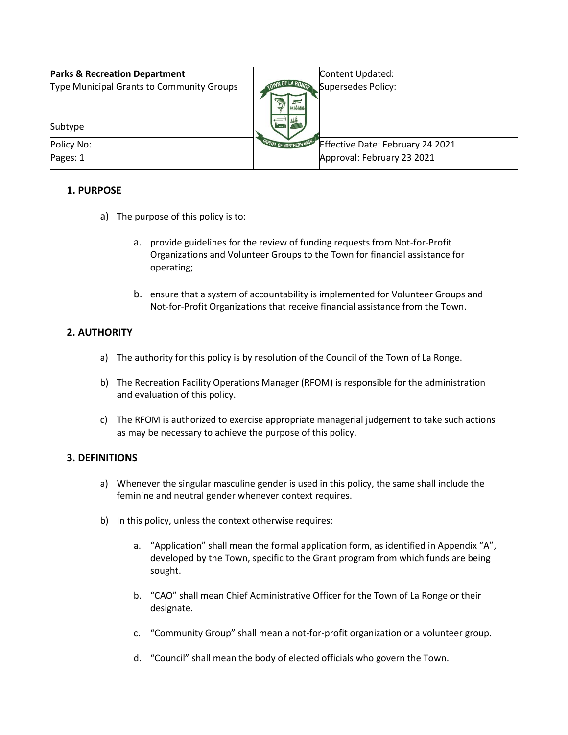| <b>Parks &amp; Recreation Department</b>  |                                 | Content Updated:                 |
|-------------------------------------------|---------------------------------|----------------------------------|
| Type Municipal Grants to Community Groups |                                 | Supersedes Policy:               |
| Subtype                                   |                                 |                                  |
| Policy No:                                | <b>CAPITAL OF NORTHERN SASP</b> | Effective Date: February 24 2021 |
| Pages: 1                                  |                                 | Approval: February 23 2021       |

### **1. PURPOSE**

- a) The purpose of this policy is to:
	- a. provide guidelines for the review of funding requests from Not-for-Profit Organizations and Volunteer Groups to the Town for financial assistance for operating;
	- b. ensure that a system of accountability is implemented for Volunteer Groups and Not-for-Profit Organizations that receive financial assistance from the Town.

## **2. AUTHORITY**

- a) The authority for this policy is by resolution of the Council of the Town of La Ronge.
- b) The Recreation Facility Operations Manager (RFOM) is responsible for the administration and evaluation of this policy.
- c) The RFOM is authorized to exercise appropriate managerial judgement to take such actions as may be necessary to achieve the purpose of this policy.

### **3. DEFINITIONS**

- a) Whenever the singular masculine gender is used in this policy, the same shall include the feminine and neutral gender whenever context requires.
- b) In this policy, unless the context otherwise requires:
	- a. "Application" shall mean the formal application form, as identified in Appendix "A", developed by the Town, specific to the Grant program from which funds are being sought.
	- b. "CAO" shall mean Chief Administrative Officer for the Town of La Ronge or their designate.
	- c. "Community Group" shall mean a not-for-profit organization or a volunteer group.
	- d. "Council" shall mean the body of elected officials who govern the Town.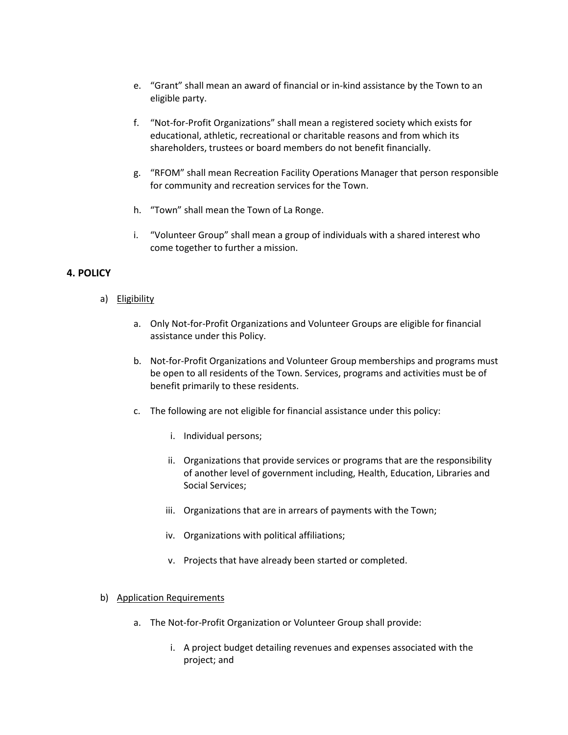- e. "Grant" shall mean an award of financial or in-kind assistance by the Town to an eligible party.
- f. "Not-for-Profit Organizations" shall mean a registered society which exists for educational, athletic, recreational or charitable reasons and from which its shareholders, trustees or board members do not benefit financially.
- g. "RFOM" shall mean Recreation Facility Operations Manager that person responsible for community and recreation services for the Town.
- h. "Town" shall mean the Town of La Ronge.
- i. "Volunteer Group" shall mean a group of individuals with a shared interest who come together to further a mission.

## **4. POLICY**

- a) Eligibility
	- a. Only Not-for-Profit Organizations and Volunteer Groups are eligible for financial assistance under this Policy.
	- b. Not-for-Profit Organizations and Volunteer Group memberships and programs must be open to all residents of the Town. Services, programs and activities must be of benefit primarily to these residents.
	- c. The following are not eligible for financial assistance under this policy:
		- i. Individual persons;
		- ii. Organizations that provide services or programs that are the responsibility of another level of government including, Health, Education, Libraries and Social Services;
		- iii. Organizations that are in arrears of payments with the Town;
		- iv. Organizations with political affiliations;
		- v. Projects that have already been started or completed.
- b) Application Requirements
	- a. The Not-for-Profit Organization or Volunteer Group shall provide:
		- i. A project budget detailing revenues and expenses associated with the project; and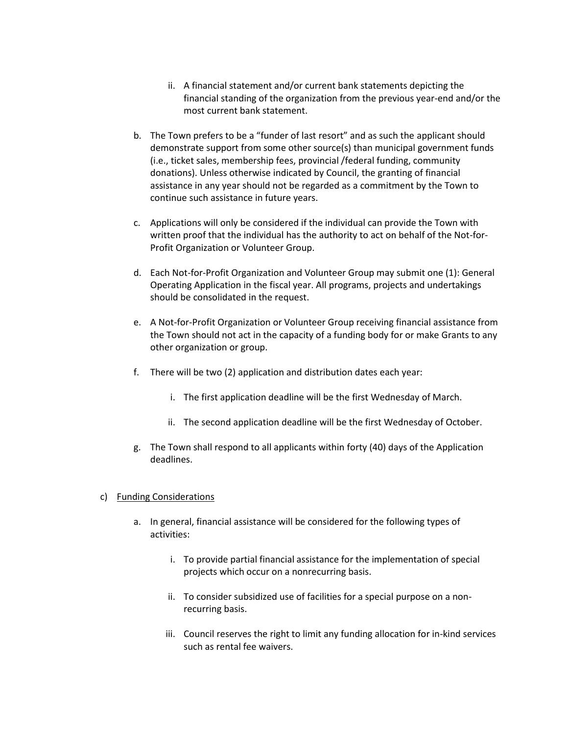- ii. A financial statement and/or current bank statements depicting the financial standing of the organization from the previous year-end and/or the most current bank statement.
- b. The Town prefers to be a "funder of last resort" and as such the applicant should demonstrate support from some other source(s) than municipal government funds (i.e., ticket sales, membership fees, provincial /federal funding, community donations). Unless otherwise indicated by Council, the granting of financial assistance in any year should not be regarded as a commitment by the Town to continue such assistance in future years.
- c. Applications will only be considered if the individual can provide the Town with written proof that the individual has the authority to act on behalf of the Not-for-Profit Organization or Volunteer Group.
- d. Each Not-for-Profit Organization and Volunteer Group may submit one (1): General Operating Application in the fiscal year. All programs, projects and undertakings should be consolidated in the request.
- e. A Not-for-Profit Organization or Volunteer Group receiving financial assistance from the Town should not act in the capacity of a funding body for or make Grants to any other organization or group.
- f. There will be two (2) application and distribution dates each year:
	- i. The first application deadline will be the first Wednesday of March.
	- ii. The second application deadline will be the first Wednesday of October.
- g. The Town shall respond to all applicants within forty (40) days of the Application deadlines.

#### c) Funding Considerations

- a. In general, financial assistance will be considered for the following types of activities:
	- i. To provide partial financial assistance for the implementation of special projects which occur on a nonrecurring basis.
	- ii. To consider subsidized use of facilities for a special purpose on a nonrecurring basis.
	- iii. Council reserves the right to limit any funding allocation for in-kind services such as rental fee waivers.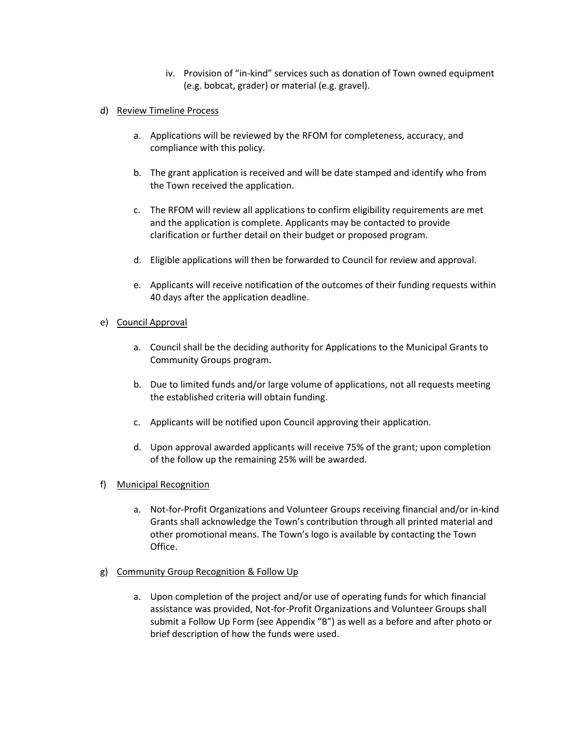- iv. Provision of "in-kind" services such as donation of Town owned equipment (e.g. bobcat, grader) or material (e.g. gravel).
- d) Review Timeline Process
	- a. Applications will be reviewed by the RFOM for completeness, accuracy, and compliance with this policy.
	- b. The grant application is received and will be date stamped and identify who from the Town received the application.
	- c. The RFOM will review all applications to confirm eligibility requirements are met and the application is complete. Applicants may be contacted to provide clarification or further detail on their budget or proposed program.
	- d. Eligible applications will then be forwarded to Council for review and approval.
	- e. Applicants will receive notification of the outcomes of their funding requests within 40 days after the application deadline.

### e) Council Approval

- a. Council shall be the deciding authority for Applications to the Municipal Grants to Community Groups program.
- b. Due to limited funds and/or large volume of applications, not all requests meeting the established criteria will obtain funding.
- c. Applicants will be notified upon Council approving their application.
- d. Upon approval awarded applicants will receive 75% of the grant; upon completion of the follow up the remaining 25% will be awarded.
- f) Municipal Recognition
	- a. Not-for-Profit Organizations and Volunteer Groups receiving financial and/or in-kind Grants shall acknowledge the Town's contribution through all printed material and other promotional means. The Town's logo is available by contacting the Town Office.
- g) Community Group Recognition & Follow Up
	- a. Upon completion of the project and/or use of operating funds for which financial assistance was provided, Not-for-Profit Organizations and Volunteer Groups shall submit a Follow Up Form (see Appendix "B") as well as a before and after photo or brief description of how the funds were used.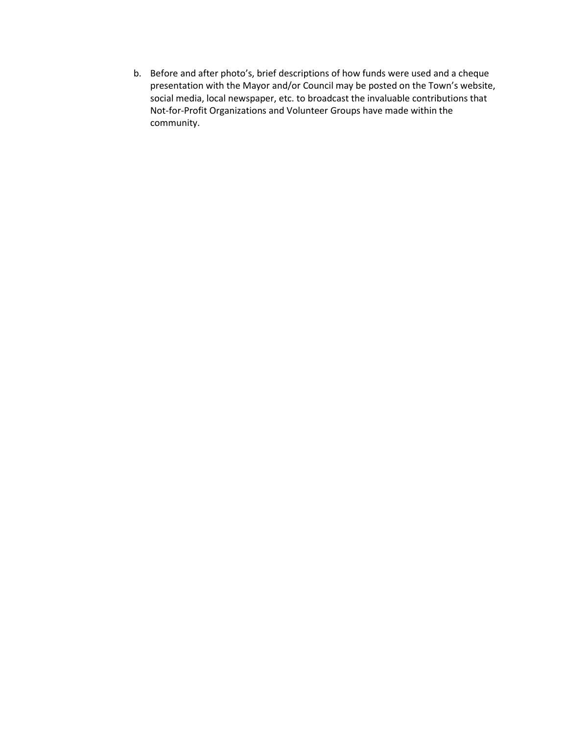b. Before and after photo's, brief descriptions of how funds were used and a cheque presentation with the Mayor and/or Council may be posted on the Town's website, social media, local newspaper, etc. to broadcast the invaluable contributions that Not-for-Profit Organizations and Volunteer Groups have made within the community.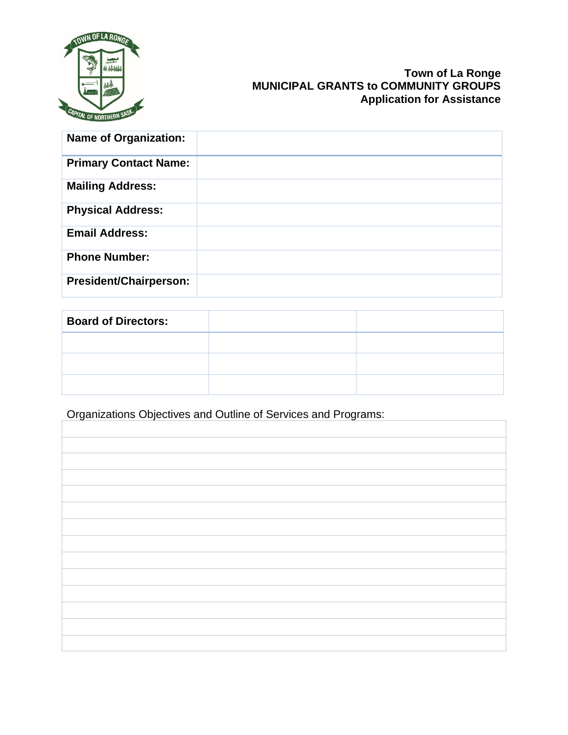

## **Town of La Ronge MUNICIPAL GRANTS to COMMUNITY GROUPS Application for Assistance**

| <b>Name of Organization:</b>  |  |
|-------------------------------|--|
| <b>Primary Contact Name:</b>  |  |
| <b>Mailing Address:</b>       |  |
| <b>Physical Address:</b>      |  |
| <b>Email Address:</b>         |  |
| <b>Phone Number:</b>          |  |
| <b>President/Chairperson:</b> |  |

| <b>Board of Directors:</b> |  |
|----------------------------|--|
|                            |  |
|                            |  |
|                            |  |

Organizations Objectives and Outline of Services and Programs: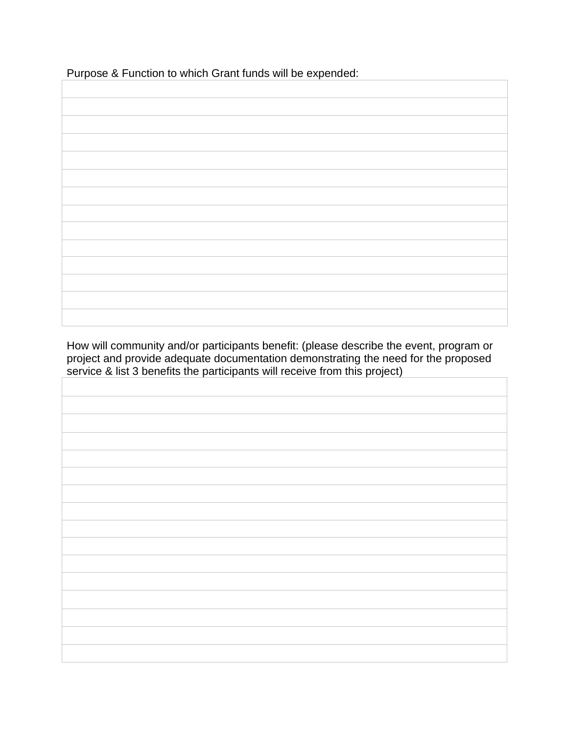Purpose & Function to which Grant funds will be expended:

How will community and/or participants benefit: (please describe the event, program or project and provide adequate documentation demonstrating the need for the proposed service & list 3 benefits the participants will receive from this project)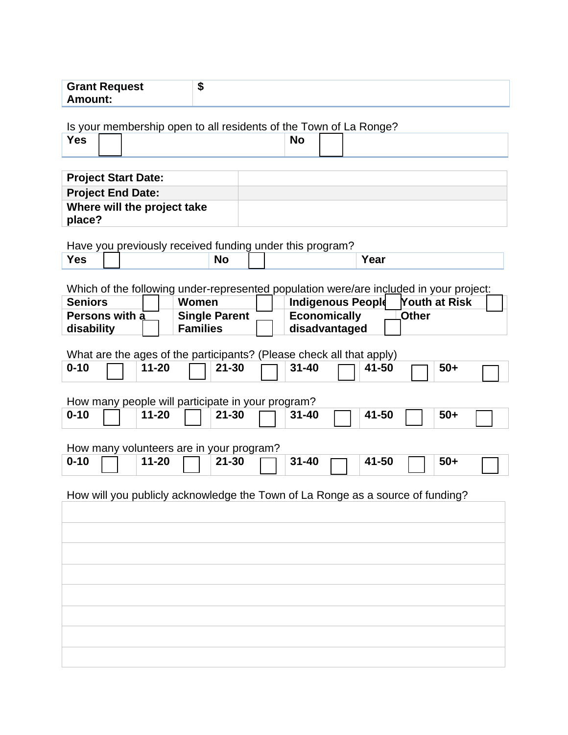| <b>Grant Request</b> |  |
|----------------------|--|
| <b>Amount:</b>       |  |

Is your membership open to all residents of the Town of La Ronge?

| Yes |  | <b>No</b><br>$ -$ |  |
|-----|--|-------------------|--|
|     |  |                   |  |

| <b>Project Start Date:</b>  |  |
|-----------------------------|--|
| <b>Project End Date:</b>    |  |
| Where will the project take |  |
| place?                      |  |

Have you previously received funding under this program?

| Yes |  | N٥ | . .<br>ear |
|-----|--|----|------------|
|     |  |    |            |

Which of the following under-represented population were/are included in your project:

| <b>Seniors</b> | Women                | Indigenous People<br><b>Youth at Risk</b> |  |
|----------------|----------------------|-------------------------------------------|--|
| Persons with a | <b>Single Parent</b> | <b>Economically</b><br>_Other             |  |
| disability     | <b>Families</b>      | disadvantaged                             |  |

What are the ages of the participants? (Please check all that apply)

| $0 - 10$ |  | $11 - 20$ | $21 - 30$ | $31 - 40$ | 41-50 | $50+$ |  |
|----------|--|-----------|-----------|-----------|-------|-------|--|
|----------|--|-----------|-----------|-----------|-------|-------|--|

How many people will participate in your program? **0-10 11-20 21-30 31-40 41-50 50+**

How many volunteers are in your program?

| $11 - 20$<br>$0 - 10$ | $21 - 30$ | $31 - 40$ | 41-50 | $50 +$ |
|-----------------------|-----------|-----------|-------|--------|
|-----------------------|-----------|-----------|-------|--------|

How will you publicly acknowledge the Town of La Ronge as a source of funding?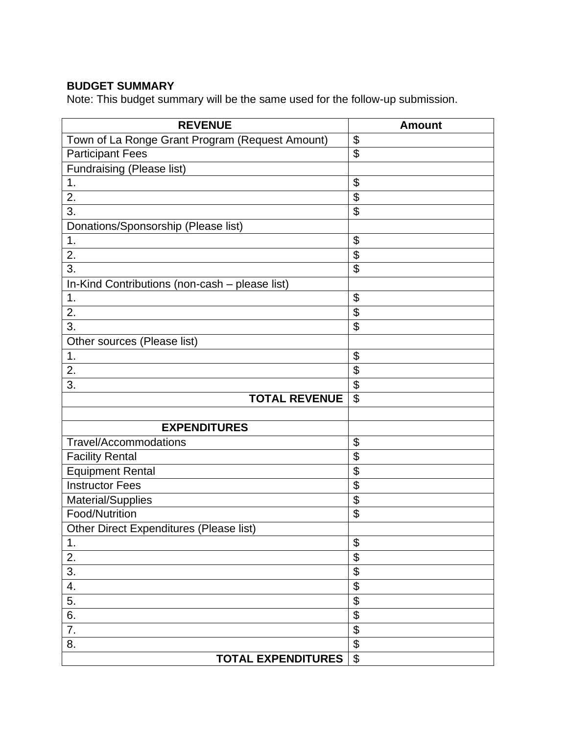# **BUDGET SUMMARY**

Note: This budget summary will be the same used for the follow-up submission.

| <b>REVENUE</b>                                  | <b>Amount</b>             |
|-------------------------------------------------|---------------------------|
| Town of La Ronge Grant Program (Request Amount) | \$                        |
| <b>Participant Fees</b>                         | $\overline{\mathfrak{s}}$ |
| Fundraising (Please list)                       |                           |
| 1.                                              | \$                        |
| 2.                                              | \$                        |
| 3.                                              | $\overline{\mathfrak{s}}$ |
| Donations/Sponsorship (Please list)             |                           |
| 1.                                              | \$                        |
| 2.                                              | \$                        |
| 3.                                              | \$                        |
| In-Kind Contributions (non-cash - please list)  |                           |
| 1.                                              | \$                        |
| 2.                                              | $\overline{\mathbf{S}}$   |
| 3.                                              | $\overline{\mathfrak{s}}$ |
| Other sources (Please list)                     |                           |
| 1.                                              | \$                        |
| 2.                                              | \$                        |
| 3.                                              | \$                        |
| <b>TOTAL REVENUE</b>                            | \$                        |
|                                                 |                           |
| <b>EXPENDITURES</b>                             |                           |
| Travel/Accommodations                           | \$                        |
| <b>Facility Rental</b>                          | \$                        |
| <b>Equipment Rental</b>                         | \$                        |
| <b>Instructor Fees</b>                          | $\overline{\$}$           |
| Material/Supplies                               | \$                        |
| Food/Nutrition                                  | \$                        |
| Other Direct Expenditures (Please list)         |                           |
| $\mathbf 1$ .                                   | \$                        |
| 2.                                              | \$                        |
| 3.                                              | \$                        |
| 4.                                              | \$                        |
| 5.                                              | \$                        |
| 6.                                              | \$                        |
| 7.                                              | \$                        |
| 8.                                              | \$                        |
| <b>TOTAL EXPENDITURES</b>                       | $\mathfrak{L}$            |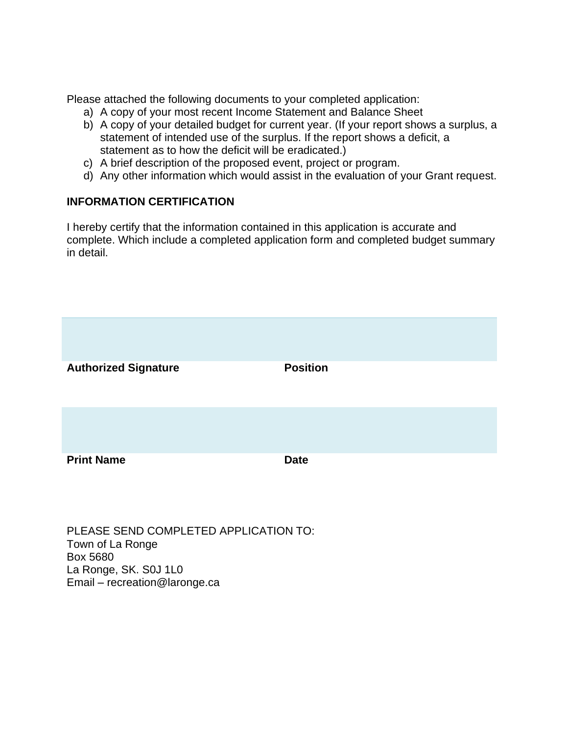Please attached the following documents to your completed application:

- a) A copy of your most recent Income Statement and Balance Sheet
- b) A copy of your detailed budget for current year. (If your report shows a surplus, a statement of intended use of the surplus. If the report shows a deficit, a statement as to how the deficit will be eradicated.)
- c) A brief description of the proposed event, project or program.
- d) Any other information which would assist in the evaluation of your Grant request.

## **INFORMATION CERTIFICATION**

I hereby certify that the information contained in this application is accurate and complete. Which include a completed application form and completed budget summary in detail.



PLEASE SEND COMPLETED APPLICATION TO: Town of La Ronge Box 5680 La Ronge, SK. S0J 1L0 Email – recreation@laronge.ca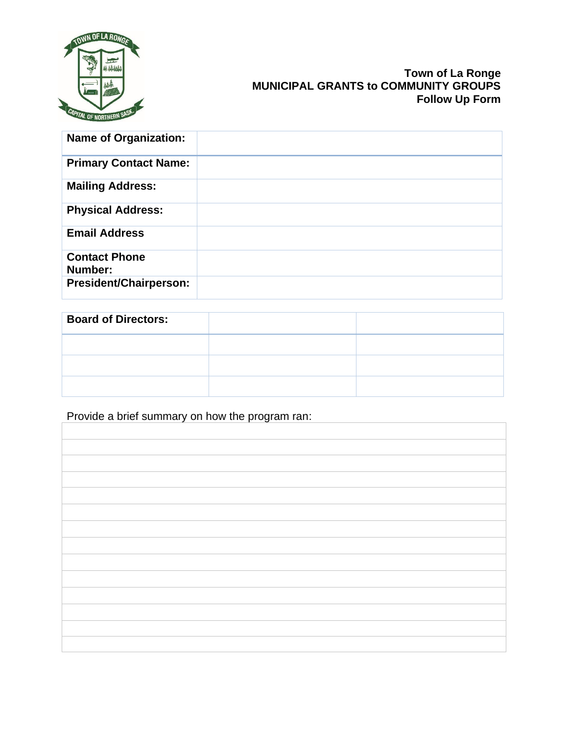

## **Town of La Ronge MUNICIPAL GRANTS to COMMUNITY GROUPS Follow Up Form**

| <b>Name of Organization:</b>    |  |
|---------------------------------|--|
| <b>Primary Contact Name:</b>    |  |
| <b>Mailing Address:</b>         |  |
| <b>Physical Address:</b>        |  |
| <b>Email Address</b>            |  |
| <b>Contact Phone</b><br>Number: |  |
| <b>President/Chairperson:</b>   |  |

| <b>Board of Directors:</b> |  |
|----------------------------|--|
|                            |  |
|                            |  |
|                            |  |

Provide a brief summary on how the program ran: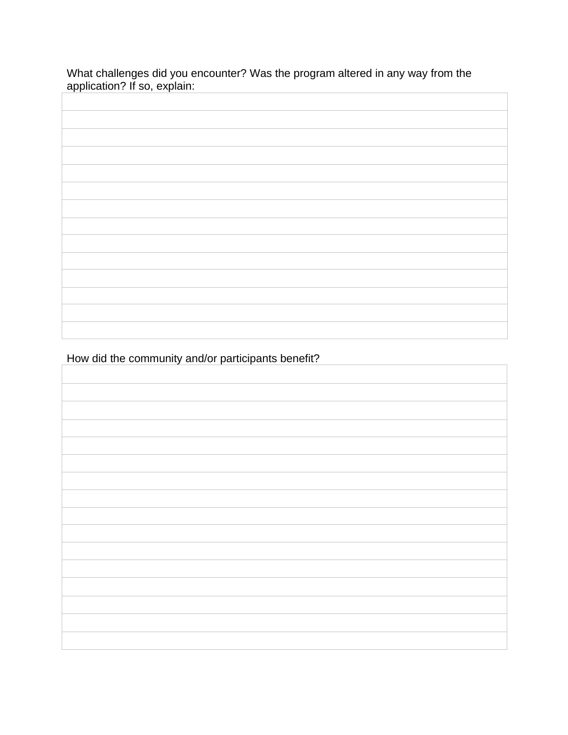What challenges did you encounter? Was the program altered in any way from the application? If so, explain:

How did the community and/or participants benefit?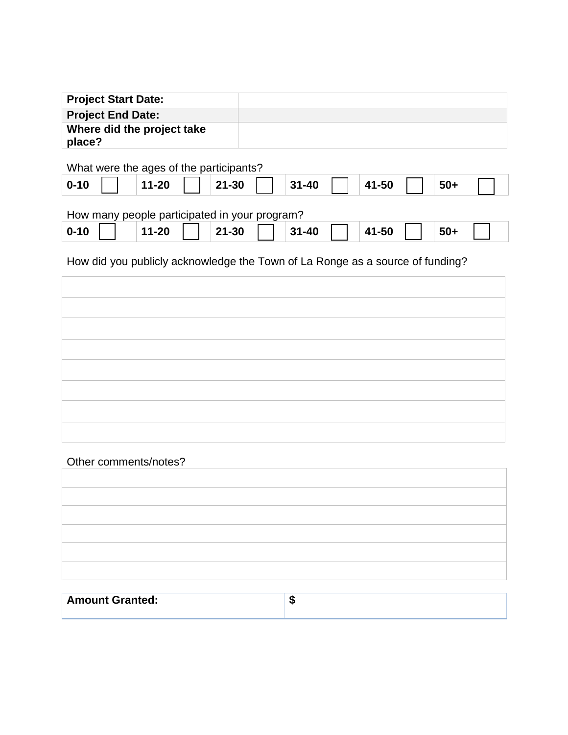| <b>Project Start Date:</b>           |  |
|--------------------------------------|--|
| <b>Project End Date:</b>             |  |
| Where did the project take<br>place? |  |

What were the ages of the participants?

| $0 - 10$ | $-20$ | $21 - 30$ | $31 - 40$ | 41-50 | $50 +$ |
|----------|-------|-----------|-----------|-------|--------|
|----------|-------|-----------|-----------|-------|--------|

# How many people participated in your program?

| $0 - 10$ | $11 - 20$ | $-30$<br>21 | $31 - 40$ | 41-50 | $50 +$ |
|----------|-----------|-------------|-----------|-------|--------|
|----------|-----------|-------------|-----------|-------|--------|

How did you publicly acknowledge the Town of La Ronge as a source of funding?

## Other comments/notes?

| the control of the control of the control of |  |
|----------------------------------------------|--|
|                                              |  |
|                                              |  |
|                                              |  |
|                                              |  |

| <b>Amount Granted:</b> | - 11 |
|------------------------|------|
|                        |      |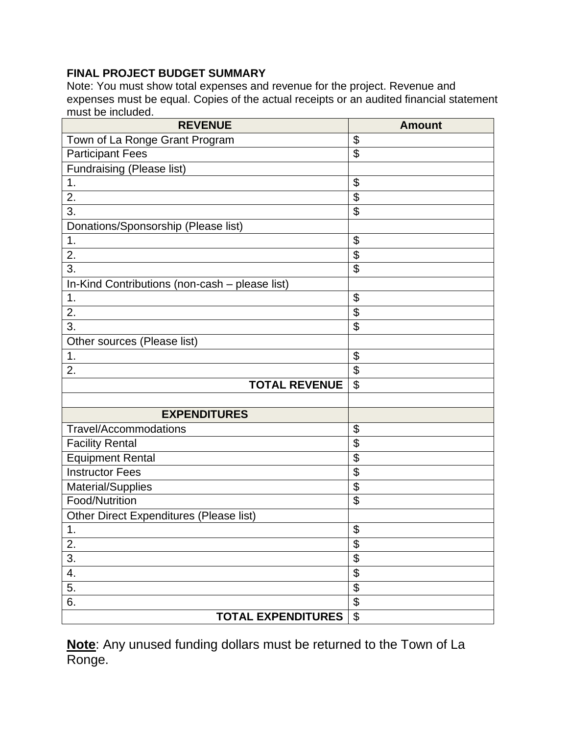# **FINAL PROJECT BUDGET SUMMARY**

Note: You must show total expenses and revenue for the project. Revenue and expenses must be equal. Copies of the actual receipts or an audited financial statement must be included.

| <b>REVENUE</b>                                 | <b>Amount</b>             |
|------------------------------------------------|---------------------------|
| Town of La Ronge Grant Program                 | \$                        |
| <b>Participant Fees</b>                        | $\overline{\mathfrak{s}}$ |
| Fundraising (Please list)                      |                           |
| 1.                                             | \$                        |
| 2.                                             | \$                        |
| 3.                                             | $\overline{\mathfrak{s}}$ |
| Donations/Sponsorship (Please list)            |                           |
| $\mathbf 1$ .                                  | \$                        |
| 2.                                             | \$                        |
| $\overline{3}$ .                               | $\overline{\$}$           |
| In-Kind Contributions (non-cash - please list) |                           |
| 1.                                             | \$                        |
| 2.                                             | $\overline{\mathbf{S}}$   |
| 3.                                             | $\overline{\mathfrak{s}}$ |
| Other sources (Please list)                    |                           |
| 1.                                             | \$                        |
| 2.                                             | $\overline{\mathfrak{s}}$ |
| <b>TOTAL REVENUE</b>                           | \$                        |
|                                                |                           |
| <b>EXPENDITURES</b>                            |                           |
| <b>Travel/Accommodations</b>                   | \$                        |
| <b>Facility Rental</b>                         | \$                        |
| <b>Equipment Rental</b>                        | \$                        |
| <b>Instructor Fees</b>                         | \$                        |
| Material/Supplies                              | \$                        |
| Food/Nutrition                                 | $\overline{\mathfrak{s}}$ |
| Other Direct Expenditures (Please list)        |                           |
| 1.                                             | \$                        |
| 2.                                             | \$                        |
| $\overline{3}$ .                               | \$                        |
| 4.                                             | \$                        |
| 5.                                             | \$                        |
| 6.                                             | \$                        |
| <b>TOTAL EXPENDITURES</b>                      | $\overline{\mathfrak{s}}$ |

**Note**: Any unused funding dollars must be returned to the Town of La Ronge.